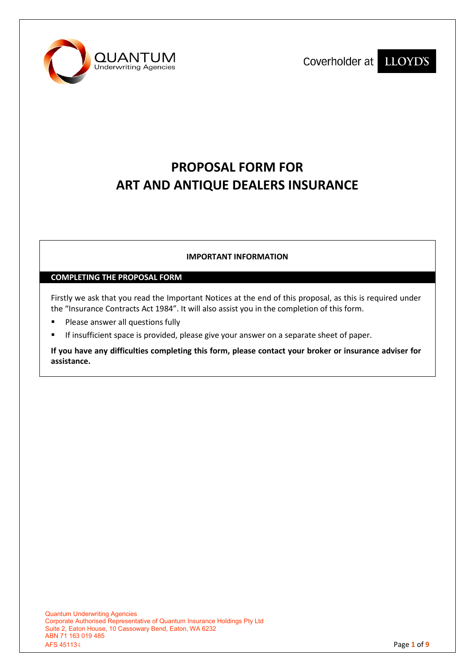



# **PROPOSAL FORM FOR ART AND ANTIQUE DEALERS INSURANCE**

# **IMPORTANT INFORMATION**

### **COMPLETING THE PROPOSAL FORM**

Firstly we ask that you read the Important Notices at the end of this proposal, as this is required under the "Insurance Contracts Act 1984". It will also assist you in the completion of this form.

- **Please answer all questions fully**
- If insufficient space is provided, please give your answer on a separate sheet of paper.

**If you have any difficulties completing this form, please contact your broker or insurance adviser for assistance.**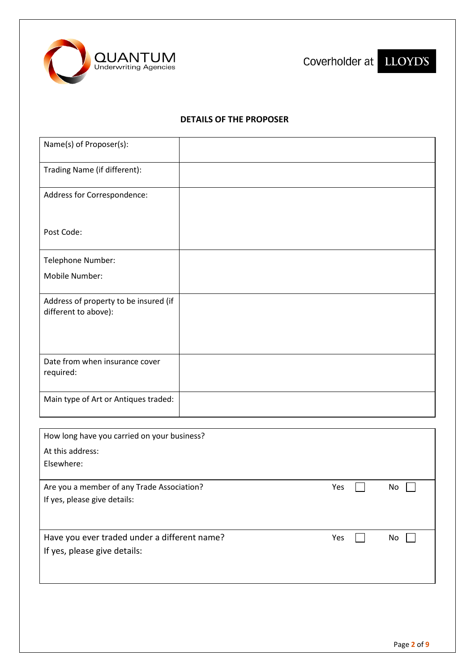



# **DETAILS OF THE PROPOSER**

| Name(s) of Proposer(s):                                       |  |  |
|---------------------------------------------------------------|--|--|
| Trading Name (if different):                                  |  |  |
| Address for Correspondence:                                   |  |  |
| Post Code:                                                    |  |  |
| Telephone Number:                                             |  |  |
| Mobile Number:                                                |  |  |
| Address of property to be insured (if<br>different to above): |  |  |
| Date from when insurance cover<br>required:                   |  |  |
| Main type of Art or Antiques traded:                          |  |  |
| How long have you carried on your business?                   |  |  |
| At this address:<br>Elsewhere:                                |  |  |

Are you a member of any Trade Association? The Manuson of Are you a member of any Trade Association? If yes, please give details:

Have you ever traded under a different name?  $Yes$  and  $\Box$  No  $\Box$ If yes, please give details:

| I |  |
|---|--|
|---|--|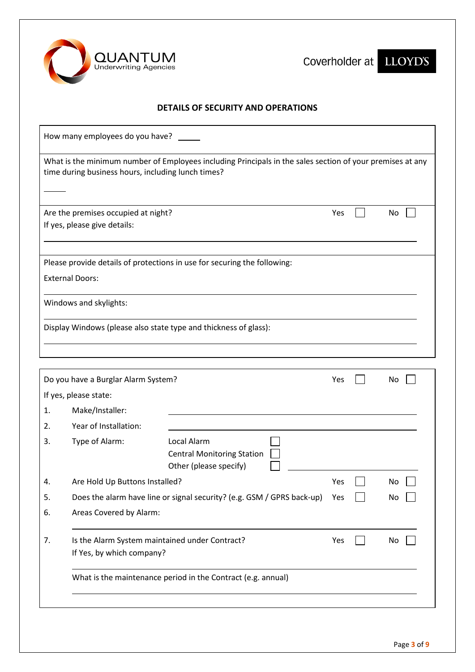

Coverholder at LLOYD'S



# **DETAILS OF SECURITY AND OPERATIONS**

| How many employees do you have?                                                                                                                                 |                                                                             |                                                                            |     |    |
|-----------------------------------------------------------------------------------------------------------------------------------------------------------------|-----------------------------------------------------------------------------|----------------------------------------------------------------------------|-----|----|
| What is the minimum number of Employees including Principals in the sales section of your premises at any<br>time during business hours, including lunch times? |                                                                             |                                                                            |     |    |
|                                                                                                                                                                 | Are the premises occupied at night?<br>If yes, please give details:         |                                                                            | Yes | No |
|                                                                                                                                                                 |                                                                             | Please provide details of protections in use for securing the following:   |     |    |
|                                                                                                                                                                 | <b>External Doors:</b>                                                      |                                                                            |     |    |
|                                                                                                                                                                 | Windows and skylights:                                                      |                                                                            |     |    |
|                                                                                                                                                                 |                                                                             | Display Windows (please also state type and thickness of glass):           |     |    |
|                                                                                                                                                                 |                                                                             |                                                                            |     |    |
|                                                                                                                                                                 | Do you have a Burglar Alarm System?                                         |                                                                            | Yes | No |
|                                                                                                                                                                 | If yes, please state:                                                       |                                                                            |     |    |
| 1.                                                                                                                                                              | Make/Installer:                                                             |                                                                            |     |    |
| 2.                                                                                                                                                              | Year of Installation:                                                       |                                                                            |     |    |
| 3.                                                                                                                                                              | Type of Alarm:                                                              | Local Alarm<br><b>Central Monitoring Station</b><br>Other (please specify) |     |    |
| 4.                                                                                                                                                              | Are Hold Up Buttons Installed?                                              |                                                                            | Yes | No |
| 5.                                                                                                                                                              |                                                                             | Does the alarm have line or signal security? (e.g. GSM / GPRS back-up)     | Yes | No |
| 6.                                                                                                                                                              | Areas Covered by Alarm:                                                     |                                                                            |     |    |
| 7.                                                                                                                                                              | Is the Alarm System maintained under Contract?<br>If Yes, by which company? |                                                                            | Yes | No |
|                                                                                                                                                                 |                                                                             | What is the maintenance period in the Contract (e.g. annual)               |     |    |
|                                                                                                                                                                 |                                                                             |                                                                            |     |    |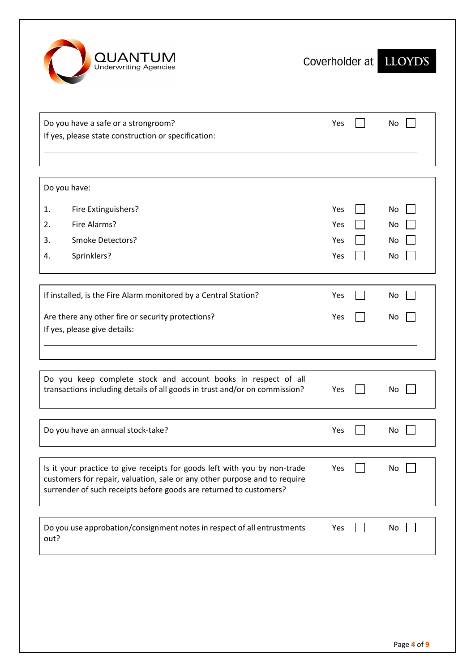

| Do you have a safe or a strongroom?<br>If yes, please state construction or specification:                                                                                                                                   | Yes | No |
|------------------------------------------------------------------------------------------------------------------------------------------------------------------------------------------------------------------------------|-----|----|
|                                                                                                                                                                                                                              |     |    |
| Do you have:                                                                                                                                                                                                                 |     |    |
| Fire Extinguishers?<br>1.                                                                                                                                                                                                    | Yes | No |
| Fire Alarms?<br>2.                                                                                                                                                                                                           | Yes | No |
| Smoke Detectors?<br>3.                                                                                                                                                                                                       | Yes | No |
| Sprinklers?<br>4.                                                                                                                                                                                                            | Yes | No |
| If installed, is the Fire Alarm monitored by a Central Station?                                                                                                                                                              | Yes | No |
| Are there any other fire or security protections?<br>If yes, please give details:                                                                                                                                            | Yes | No |
|                                                                                                                                                                                                                              |     |    |
| Do you keep complete stock and account books in respect of all<br>transactions including details of all goods in trust and/or on commission?                                                                                 | Yes | No |
| Do you have an annual stock-take?                                                                                                                                                                                            | Yes | No |
| Is it your practice to give receipts for goods left with you by non-trade<br>customers for repair, valuation, sale or any other purpose and to require<br>surrender of such receipts before goods are returned to customers? | Yes | No |
| Do you use approbation/consignment notes in respect of all entrustments<br>out?                                                                                                                                              | Yes | No |
|                                                                                                                                                                                                                              |     |    |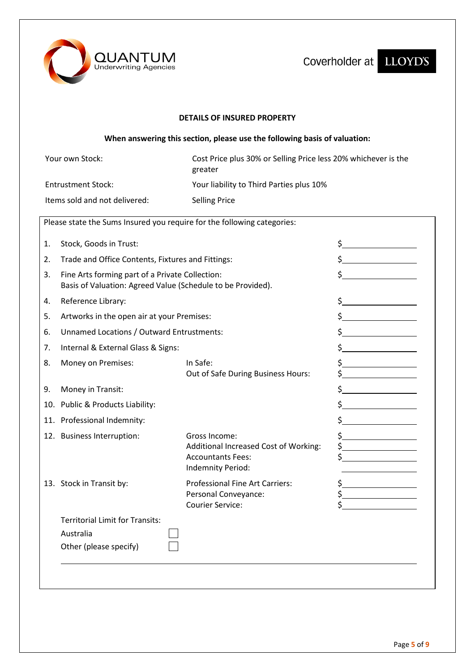

Coverholder at LLOYD'S

### **DETAILS OF INSURED PROPERTY**

# **When answering this section, please use the following basis of valuation:**

| Your own Stock:               | Cost Price plus 30% or Selling Price less 20% whichever is the<br>greater |
|-------------------------------|---------------------------------------------------------------------------|
| Entrustment Stock:            | Your liability to Third Parties plus 10%                                  |
| Items sold and not delivered: | <b>Selling Price</b>                                                      |

| 1. | Stock, Goods in Trust:                                                                                         |                                                                                                         | $\frac{1}{2}$                                                |
|----|----------------------------------------------------------------------------------------------------------------|---------------------------------------------------------------------------------------------------------|--------------------------------------------------------------|
| 2. | Trade and Office Contents, Fixtures and Fittings:                                                              |                                                                                                         |                                                              |
| 3. | Fine Arts forming part of a Private Collection:<br>Basis of Valuation: Agreed Value (Schedule to be Provided). |                                                                                                         |                                                              |
| 4. | Reference Library:                                                                                             |                                                                                                         | $\frac{1}{2}$                                                |
| 5. | Artworks in the open air at your Premises:                                                                     |                                                                                                         | $\frac{1}{2}$                                                |
| 6. | Unnamed Locations / Outward Entrustments:                                                                      |                                                                                                         | $\frac{1}{2}$                                                |
| 7. | Internal & External Glass & Signs:                                                                             |                                                                                                         | $\frac{1}{2}$                                                |
| 8. | Money on Premises:                                                                                             | In Safe:<br>Out of Safe During Business Hours:                                                          | $\frac{1}{2}$                                                |
| 9. | Money in Transit:                                                                                              |                                                                                                         | $\frac{1}{2}$                                                |
|    | 10. Public & Products Liability:                                                                               |                                                                                                         | $\frac{1}{2}$                                                |
|    | 11. Professional Indemnity:                                                                                    |                                                                                                         |                                                              |
|    | 12. Business Interruption:                                                                                     | Gross Income:<br>Additional Increased Cost of Working:<br><b>Accountants Fees:</b><br>Indemnity Period: | $\frac{1}{2}$<br>$\frac{1}{2}$                               |
|    | 13. Stock in Transit by:                                                                                       | <b>Professional Fine Art Carriers:</b><br>Personal Conveyance:<br><b>Courier Service:</b>               | $\frac{1}{2}$<br>$\frac{\xi}{\xi}$ , where $\frac{\xi}{\xi}$ |
|    | <b>Territorial Limit for Transits:</b>                                                                         |                                                                                                         |                                                              |
|    | Australia                                                                                                      |                                                                                                         |                                                              |
|    | Other (please specify)                                                                                         |                                                                                                         |                                                              |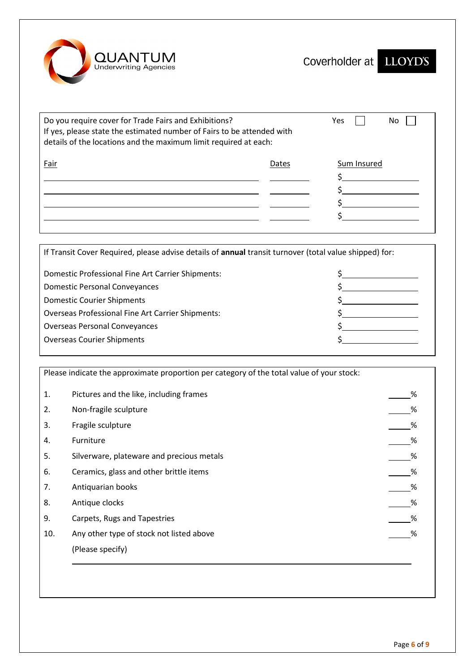

| Do you require cover for Trade Fairs and Exhibitions?<br>If yes, please state the estimated number of Fairs to be attended with<br>details of the locations and the maximum limit required at each: | Yes<br>No. |             |
|-----------------------------------------------------------------------------------------------------------------------------------------------------------------------------------------------------|------------|-------------|
| Fair                                                                                                                                                                                                | Dates      | Sum Insured |

If Transit Cover Required, please advise details of **annual** transit turnover (total value shipped) for:

| Domestic Professional Fine Art Carrier Shipments:        |  |
|----------------------------------------------------------|--|
| <b>Domestic Personal Conveyances</b>                     |  |
| <b>Domestic Courier Shipments</b>                        |  |
| <b>Overseas Professional Fine Art Carrier Shipments:</b> |  |
| <b>Overseas Personal Conveyances</b>                     |  |
| <b>Overseas Courier Shipments</b>                        |  |
|                                                          |  |

Please indicate the approximate proportion per category of the total value of your stock: 1. Pictures and the like, including frames and the like, including frames and the state of the state of  $\sim$  8 2. Non-fragile sculpture  $\sim$  % 3. Fragile sculpture % 4. Furniture 2014 - 2022 - 2022 - 2022 - 2022 - 2022 - 2022 - 2022 - 2023 - 2022 - 2023 - 2023 - 2023 - 2023 - 20 5. Silverware, plateware and precious metals % 6. Ceramics, glass and other brittle items **Source 2018** Service 2018 Manual 2018 Service 2018 Manual 2019 Manual 2019

- 7. Antiquarian books %
- 8. Antique clocks %
- 9. Carpets, Rugs and Tapestries **Solution Contract Contract Contract Contract Contract Contract Contract Contract Contract Contract Contract Contract Contract Contract Contract Contract Contract Contract Contract Contract**
- 10. Any other type of stock not listed above measured by the state of the state of the state of the state of the state of the state of the state of the state of the state of the state of the state of the state of the state (Please specify)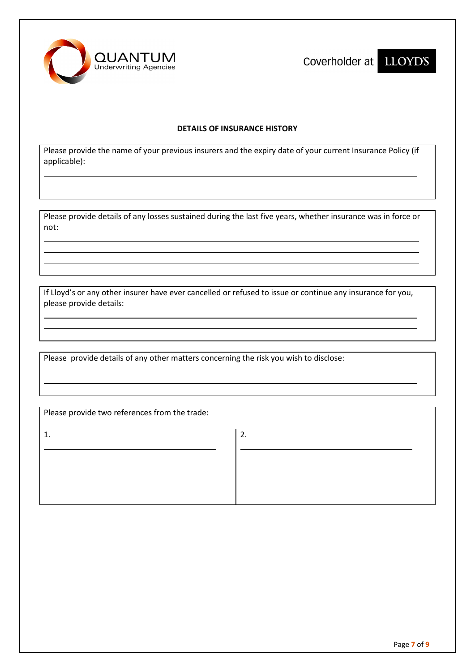

Coverholder at LLOYD'S

### **DETAILS OF INSURANCE HISTORY**

Please provide the name of your previous insurers and the expiry date of your current Insurance Policy (if applicable):

Please provide details of any losses sustained during the last five years, whether insurance was in force or not:

If Lloyd's or any other insurer have ever cancelled or refused to issue or continue any insurance for you, please provide details:

Please provide details of any other matters concerning the risk you wish to disclose:

| Please provide two references from the trade: |    |  |
|-----------------------------------------------|----|--|
|                                               | 2. |  |
|                                               |    |  |
|                                               |    |  |
|                                               |    |  |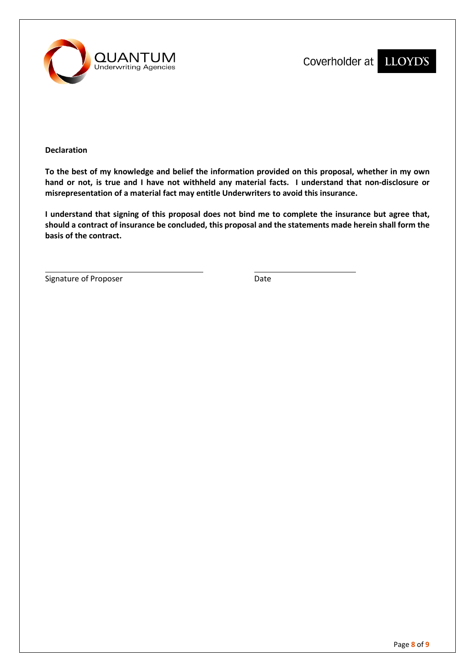

**Declaration**

**To the best of my knowledge and belief the information provided on this proposal, whether in my own hand or not, is true and I have not withheld any material facts. I understand that non-disclosure or misrepresentation of a material fact may entitle Underwriters to avoid this insurance.**

**I understand that signing of this proposal does not bind me to complete the insurance but agree that, should a contract of insurance be concluded, this proposal and the statements made herein shall form the basis of the contract.**

Signature of Proposer and Date Date